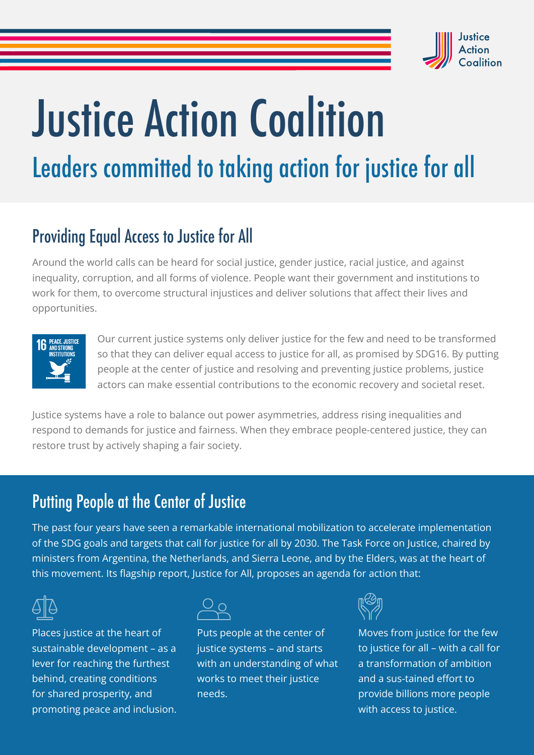

# Justice Action Coalition Leaders committed to taking action for justice for all

## Providing Equal Access to Justice for All

Around the world calls can be heard for social justice, gender justice, racial justice, and against inequality, corruption, and all forms of violence. People want their government and institutions to work for them, to overcome structural injustices and deliver solutions that affect their lives and opportunities.



Our current justice systems only deliver justice for the few and need to be transformed so that they can deliver equal access to justice for all, as promised by SDG16. By putting people at the center of justice and resolving and preventing justice problems, justice actors can make essential contributions to the economic recovery and societal reset.

Justice systems have a role to balance out power asymmetries, address rising inequalities and respond to demands for justice and fairness. When they embrace people-centered justice, they can restore trust by actively shaping a fair society.

## Putting People at the Center of Justice

The past four years have seen a remarkable international mobilization to accelerate implementation of the SDG goals and targets that call for justice for all by 2030. The Task Force on Justice, chaired by ministers from Argentina, the Netherlands, and Sierra Leone, and by the Elders, was at the heart of this movement. Its flagship report, Justice for All, proposes an agenda for action that:



Places justice at the heart of sustainable development – as a lever for reaching the furthest behind, creating conditions for shared prosperity, and promoting peace and inclusion.



Puts people at the center of justice systems – and starts with an understanding of what works to meet their justice needs.



Moves from justice for the few to justice for all – with a call for a transformation of ambition and a sus-tained effort to provide billions more people with access to justice.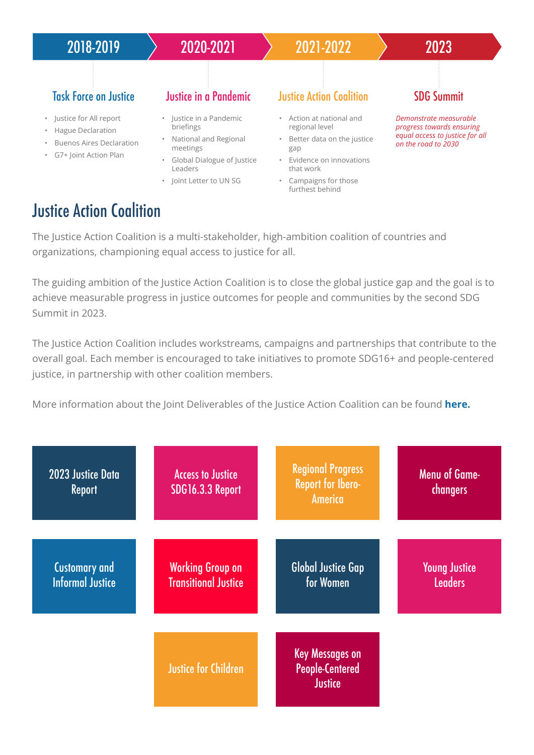

#### **Justice Action Coalition**

The Justice Action Coalition is a multi-stakeholder, high-ambition coalition of countries and organizations, championing equal access to justice for all.

The guiding ambition of the Justice Action Coalition is to close the global justice gap and the goal is to achieve measurable progress in justice outcomes for people and communities by the second SDG Summit in 2023.

The Justice Action Coalition includes workstreams, campaigns and partnerships that contribute to the overall goal. Each member is encouraged to take initiatives to promote SDG16+ and people-centered justice, in partnership with other coalition members.

More information about the Joint Deliverables of the Justice Action Coalition can be found **[here.](https://bf889554-6857-4cfe-8d55-8770007b8841.filesusr.com/ugd/6c192f_791a140efc604780aac4cc2afbfb58b0.pdf)**

| 2023 Justice Data<br><b>Report</b>              | <b>Access to Justice</b><br><b>SDG16.3.3 Report</b>    | <b>Regional Progress</b><br><b>Report for Ibero-</b><br>America    | <b>Menu of Game-</b><br>changers       |
|-------------------------------------------------|--------------------------------------------------------|--------------------------------------------------------------------|----------------------------------------|
| <b>Customary and</b><br><b>Informal Justice</b> | <b>Working Group on</b><br><b>Transitional Justice</b> | <b>Global Justice Gap</b><br>for Women                             | <b>Young Justice</b><br><b>Leaders</b> |
|                                                 | <b>Justice for Children</b>                            | <b>Key Messages on</b><br><b>People-Centered</b><br><b>Justice</b> |                                        |